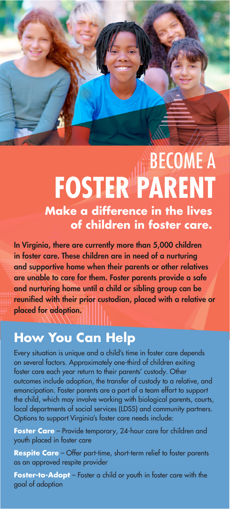

## BECOME A **FOSTER PARENT Make a difference in the lives of children in foster care.**

In Virginia, there are currently more than 5,000 children in foster care. These children are in need of a nurturing and supportive home when their parents or other relatives are unable to care for them. Foster parents provide a safe and nurturing home until a child or sibling group can be reunified with their prior custodian, placed with a relative or placed for adoption.

## **How You Can Help**

Every situation is unique and a child's time in foster care depends on several factors. Approximately one-third of children exiting foster care each year return to their parents' custody. Other outcomes include adoption, the transfer of custody to a relative, and emancipation. Foster parents are a part of a team effort to support the child, which may involve working with biological parents, courts, local departments of social services (LDSS) and community partners. Options to support Virginia's foster care needs include:

Foster Care – Provide temporary, 24-hour care for children and youth placed in foster care

**Respite Care** – Offer part-time, short-term relief to foster parents as an approved respite provider

**Foster-to-Adopt** – Foster a child or youth in foster care with the goal of adoption